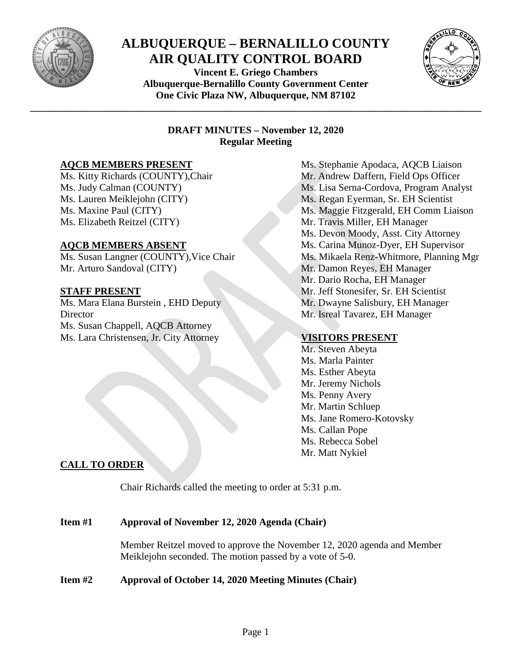

# **ALBUQUERQUE – BERNALILLO COUNTY AIR QUALITY CONTROL BOARD**

**Vincent E. Griego Chambers Albuquerque-Bernalillo County Government Center One Civic Plaza NW, Albuquerque, NM 87102**

**\_\_\_\_\_\_\_\_\_\_\_\_\_\_\_\_\_\_\_\_\_\_\_\_\_\_\_\_\_\_\_\_\_\_\_\_\_\_\_\_\_\_\_\_\_\_\_\_\_\_\_\_\_\_\_\_\_\_\_\_\_\_\_\_\_\_\_\_\_\_\_\_\_\_\_\_\_\_\_\_\_\_\_\_\_\_\_\_\_\_**



#### **DRAFT MINUTES – November 12, 2020 Regular Meeting**

#### **AQCB MEMBERS PRESENT**

Ms. Kitty Richards (COUNTY),Chair Ms. Judy Calman (COUNTY) Ms. Lauren Meiklejohn (CITY) Ms. Maxine Paul (CITY) Ms. Elizabeth Reitzel (CITY)

#### **AQCB MEMBERS ABSENT**

Ms. Susan Langner (COUNTY),Vice Chair Mr. Arturo Sandoval (CITY)

### **STAFF PRESENT**

Ms. Mara Elana Burstein , EHD Deputy **Director** Ms. Susan Chappell, AQCB Attorney Ms. Lara Christensen, Jr. City Attorney

Ms. Stephanie Apodaca, AQCB Liaison Mr. Andrew Daffern, Field Ops Officer Ms. Lisa Serna-Cordova, Program Analyst Ms. Regan Eyerman, Sr. EH Scientist Ms. Maggie Fitzgerald, EH Comm Liaison Mr. Travis Miller, EH Manager Ms. Devon Moody, Asst. City Attorney Ms. Carina Munoz-Dyer, EH Supervisor Ms. Mikaela Renz-Whitmore, Planning Mgr Mr. Damon Reyes, EH Manager Mr. Dario Rocha, EH Manager Mr. Jeff Stonesifer, Sr. EH Scientist Mr. Dwayne Salisbury, EH Manager Mr. Isreal Tavarez, EH Manager

# **VISITORS PRESENT**

Mr. Steven Abeyta Ms. Marla Painter Ms. Esther Abeyta Mr. Jeremy Nichols Ms. Penny Avery Mr. Martin Schluep Ms. Jane Romero-Kotovsky Ms. Callan Pope Ms. Rebecca Sobel Mr. Matt Nykiel

# **CALL TO ORDER**

Chair Richards called the meeting to order at 5:31 p.m.

#### **Item #1 Approval of November 12, 2020 Agenda (Chair)**

Member Reitzel moved to approve the November 12, 2020 agenda and Member Meiklejohn seconded. The motion passed by a vote of 5-0.

# **Item #2 Approval of October 14, 2020 Meeting Minutes (Chair)**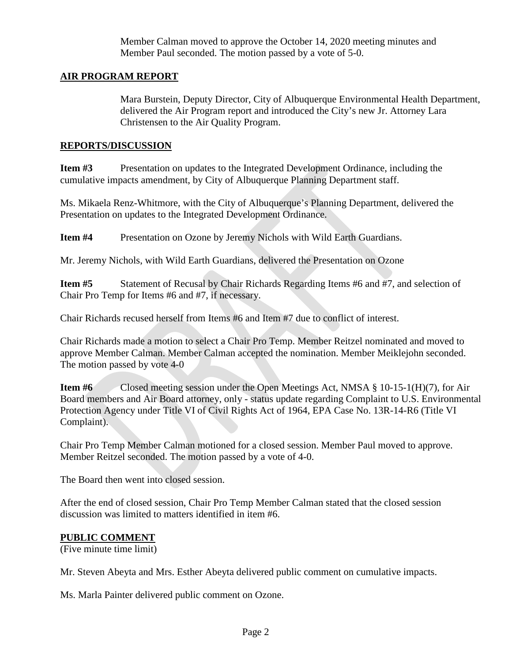Member Calman moved to approve the October 14, 2020 meeting minutes and Member Paul seconded. The motion passed by a vote of 5-0.

#### **AIR PROGRAM REPORT**

Mara Burstein, Deputy Director, City of Albuquerque Environmental Health Department, delivered the Air Program report and introduced the City's new Jr. Attorney Lara Christensen to the Air Quality Program.

#### **REPORTS/DISCUSSION**

**Item #3** Presentation on updates to the Integrated Development Ordinance, including the cumulative impacts amendment, by City of Albuquerque Planning Department staff.

Ms. Mikaela Renz-Whitmore, with the City of Albuquerque's Planning Department, delivered the Presentation on updates to the Integrated Development Ordinance.

**Item #4** Presentation on Ozone by Jeremy Nichols with Wild Earth Guardians.

Mr. Jeremy Nichols, with Wild Earth Guardians, delivered the Presentation on Ozone

**Item #5** Statement of Recusal by Chair Richards Regarding Items #6 and #7, and selection of Chair Pro Temp for Items #6 and #7, if necessary.

Chair Richards recused herself from Items #6 and Item #7 due to conflict of interest.

Chair Richards made a motion to select a Chair Pro Temp. Member Reitzel nominated and moved to approve Member Calman. Member Calman accepted the nomination. Member Meiklejohn seconded. The motion passed by vote 4-0

**Item** #6 Closed meeting session under the Open Meetings Act, NMSA § 10-15-1(H)(7), for Air Board members and Air Board attorney, only - status update regarding Complaint to U.S. Environmental Protection Agency under Title VI of Civil Rights Act of 1964, EPA Case No. 13R-14-R6 (Title VI Complaint).

Chair Pro Temp Member Calman motioned for a closed session. Member Paul moved to approve. Member Reitzel seconded. The motion passed by a vote of 4-0.

The Board then went into closed session.

After the end of closed session, Chair Pro Temp Member Calman stated that the closed session discussion was limited to matters identified in item #6.

#### **PUBLIC COMMENT**

(Five minute time limit)

Mr. Steven Abeyta and Mrs. Esther Abeyta delivered public comment on cumulative impacts.

Ms. Marla Painter delivered public comment on Ozone.